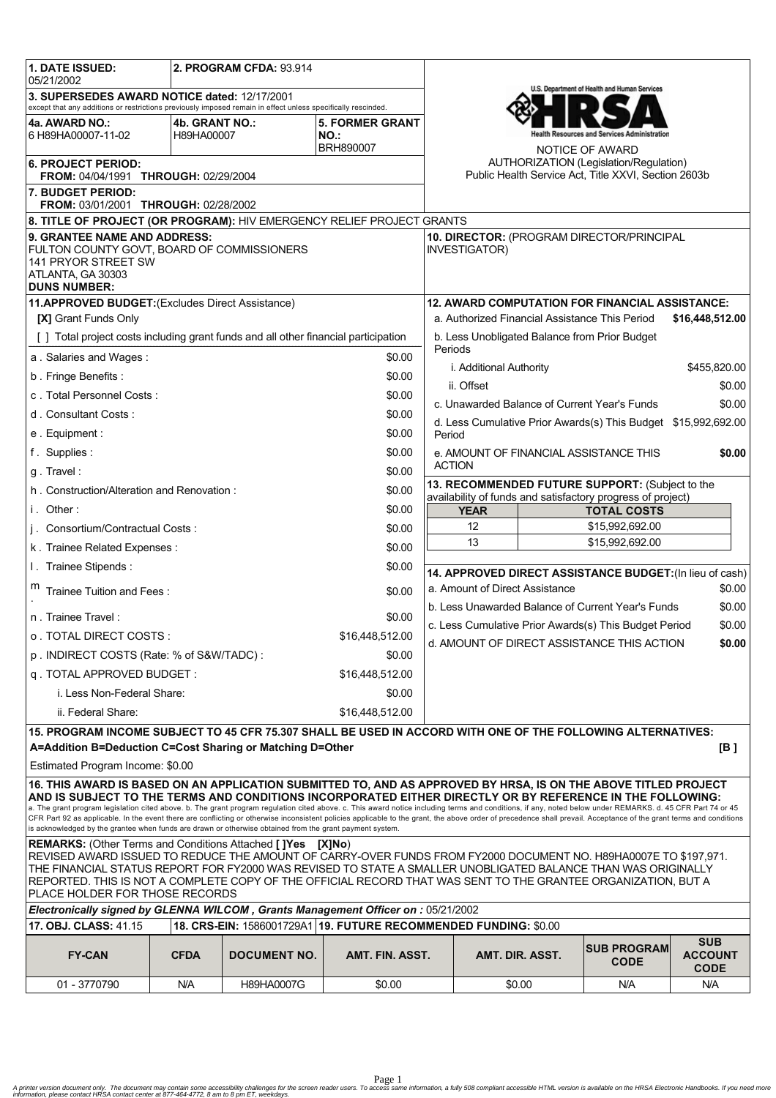| <b>1. DATE ISSUED:</b><br>2. PROGRAM CFDA: 93.914<br>05/21/2002                                                                                                                                                                                                                                                                                                                                                                            |             |                     |                 |                                                                                                                   |                                                                   |                                              |                               |  |
|--------------------------------------------------------------------------------------------------------------------------------------------------------------------------------------------------------------------------------------------------------------------------------------------------------------------------------------------------------------------------------------------------------------------------------------------|-------------|---------------------|-----------------|-------------------------------------------------------------------------------------------------------------------|-------------------------------------------------------------------|----------------------------------------------|-------------------------------|--|
| 3. SUPERSEDES AWARD NOTICE dated: 12/17/2001                                                                                                                                                                                                                                                                                                                                                                                               |             |                     |                 | U.S. Department of Health and Human Services                                                                      |                                                                   |                                              |                               |  |
| except that any additions or restrictions previously imposed remain in effect unless specifically rescinded.<br>4a. AWARD NO.:<br><b>5. FORMER GRANT</b><br>4b. GRANT NO.:                                                                                                                                                                                                                                                                 |             |                     |                 |                                                                                                                   |                                                                   |                                              |                               |  |
| 6 H89HA00007-11-02                                                                                                                                                                                                                                                                                                                                                                                                                         | H89HA00007  |                     | NO.:            |                                                                                                                   |                                                                   | lealth Resources and Services Administration |                               |  |
| BRH890007                                                                                                                                                                                                                                                                                                                                                                                                                                  |             |                     |                 | NOTICE OF AWARD<br>AUTHORIZATION (Legislation/Regulation)<br>Public Health Service Act, Title XXVI, Section 2603b |                                                                   |                                              |                               |  |
| <b>6. PROJECT PERIOD:</b><br><b>FROM: 04/04/1991 THROUGH: 02/29/2004</b>                                                                                                                                                                                                                                                                                                                                                                   |             |                     |                 |                                                                                                                   |                                                                   |                                              |                               |  |
| 7. BUDGET PERIOD:<br>FROM: 03/01/2001 THROUGH: 02/28/2002                                                                                                                                                                                                                                                                                                                                                                                  |             |                     |                 |                                                                                                                   |                                                                   |                                              |                               |  |
| 8. TITLE OF PROJECT (OR PROGRAM): HIV EMERGENCY RELIEF PROJECT GRANTS                                                                                                                                                                                                                                                                                                                                                                      |             |                     |                 |                                                                                                                   |                                                                   |                                              |                               |  |
| 9. GRANTEE NAME AND ADDRESS:                                                                                                                                                                                                                                                                                                                                                                                                               |             |                     |                 |                                                                                                                   | 10. DIRECTOR: (PROGRAM DIRECTOR/PRINCIPAL                         |                                              |                               |  |
| FULTON COUNTY GOVT, BOARD OF COMMISSIONERS<br>141 PRYOR STREET SW                                                                                                                                                                                                                                                                                                                                                                          |             |                     |                 | <b>INVESTIGATOR)</b>                                                                                              |                                                                   |                                              |                               |  |
| ATLANTA, GA 30303<br><b>DUNS NUMBER:</b>                                                                                                                                                                                                                                                                                                                                                                                                   |             |                     |                 |                                                                                                                   |                                                                   |                                              |                               |  |
| 11.APPROVED BUDGET: (Excludes Direct Assistance)                                                                                                                                                                                                                                                                                                                                                                                           |             |                     |                 |                                                                                                                   | 12. AWARD COMPUTATION FOR FINANCIAL ASSISTANCE:                   |                                              |                               |  |
| <b>[X] Grant Funds Only</b>                                                                                                                                                                                                                                                                                                                                                                                                                |             |                     |                 |                                                                                                                   | a. Authorized Financial Assistance This Period<br>\$16,448,512.00 |                                              |                               |  |
| [] Total project costs including grant funds and all other financial participation                                                                                                                                                                                                                                                                                                                                                         |             |                     |                 | b. Less Unobligated Balance from Prior Budget                                                                     |                                                                   |                                              |                               |  |
| a. Salaries and Wages:<br>\$0.00                                                                                                                                                                                                                                                                                                                                                                                                           |             |                     |                 | Periods                                                                                                           |                                                                   |                                              |                               |  |
| b. Fringe Benefits:                                                                                                                                                                                                                                                                                                                                                                                                                        |             |                     | \$0.00          | i. Additional Authority<br>\$455,820.00                                                                           |                                                                   |                                              |                               |  |
| c. Total Personnel Costs:                                                                                                                                                                                                                                                                                                                                                                                                                  |             |                     | \$0.00          |                                                                                                                   | ii. Offset                                                        |                                              | \$0.00                        |  |
| d. Consultant Costs:<br>\$0.00                                                                                                                                                                                                                                                                                                                                                                                                             |             |                     |                 | c. Unawarded Balance of Current Year's Funds<br>\$0.00                                                            |                                                                   |                                              |                               |  |
| \$0.00<br>e. Equipment:                                                                                                                                                                                                                                                                                                                                                                                                                    |             |                     |                 | d. Less Cumulative Prior Awards(s) This Budget \$15,992,692.00<br>Period                                          |                                                                   |                                              |                               |  |
| f. Supplies:                                                                                                                                                                                                                                                                                                                                                                                                                               |             |                     | \$0.00          |                                                                                                                   | e. AMOUNT OF FINANCIAL ASSISTANCE THIS                            |                                              | \$0.00                        |  |
| g. Travel:                                                                                                                                                                                                                                                                                                                                                                                                                                 |             |                     | \$0.00          | <b>ACTION</b>                                                                                                     |                                                                   |                                              |                               |  |
| \$0.00<br>h. Construction/Alteration and Renovation:                                                                                                                                                                                                                                                                                                                                                                                       |             |                     |                 | 13. RECOMMENDED FUTURE SUPPORT: (Subject to the<br>availability of funds and satisfactory progress of project)    |                                                                   |                                              |                               |  |
| i. Other:                                                                                                                                                                                                                                                                                                                                                                                                                                  |             |                     | \$0.00          | <b>TOTAL COSTS</b><br><b>YEAR</b>                                                                                 |                                                                   |                                              |                               |  |
| j. Consortium/Contractual Costs:                                                                                                                                                                                                                                                                                                                                                                                                           |             |                     | \$0.00          |                                                                                                                   | 12                                                                | \$15,992,692.00                              |                               |  |
| k. Trainee Related Expenses:                                                                                                                                                                                                                                                                                                                                                                                                               |             |                     | \$0.00          | 13<br>\$15,992,692.00                                                                                             |                                                                   |                                              |                               |  |
| I. Trainee Stipends:<br>\$0.00                                                                                                                                                                                                                                                                                                                                                                                                             |             |                     |                 |                                                                                                                   |                                                                   |                                              |                               |  |
| Trainee Tuition and Fees:                                                                                                                                                                                                                                                                                                                                                                                                                  |             |                     | \$0.00          | 14. APPROVED DIRECT ASSISTANCE BUDGET: (In lieu of cash)<br>a. Amount of Direct Assistance<br>\$0.00              |                                                                   |                                              |                               |  |
|                                                                                                                                                                                                                                                                                                                                                                                                                                            |             |                     |                 | b. Less Unawarded Balance of Current Year's Funds<br>\$0.00                                                       |                                                                   |                                              |                               |  |
| n. Trainee Travel:                                                                                                                                                                                                                                                                                                                                                                                                                         |             |                     | \$0.00          | c. Less Cumulative Prior Awards(s) This Budget Period<br>\$0.00                                                   |                                                                   |                                              |                               |  |
| o . TOTAL DIRECT COSTS :                                                                                                                                                                                                                                                                                                                                                                                                                   |             |                     | \$16,448,512.00 | d. AMOUNT OF DIRECT ASSISTANCE THIS ACTION<br>\$0.00                                                              |                                                                   |                                              |                               |  |
| p. INDIRECT COSTS (Rate: % of S&W/TADC):                                                                                                                                                                                                                                                                                                                                                                                                   |             |                     | \$0.00          |                                                                                                                   |                                                                   |                                              |                               |  |
| q. TOTAL APPROVED BUDGET:                                                                                                                                                                                                                                                                                                                                                                                                                  |             |                     | \$16,448,512.00 |                                                                                                                   |                                                                   |                                              |                               |  |
| i. Less Non-Federal Share:                                                                                                                                                                                                                                                                                                                                                                                                                 |             |                     | \$0.00          |                                                                                                                   |                                                                   |                                              |                               |  |
| ii. Federal Share:                                                                                                                                                                                                                                                                                                                                                                                                                         |             |                     | \$16,448,512.00 |                                                                                                                   |                                                                   |                                              |                               |  |
| 15. PROGRAM INCOME SUBJECT TO 45 CFR 75.307 SHALL BE USED IN ACCORD WITH ONE OF THE FOLLOWING ALTERNATIVES:                                                                                                                                                                                                                                                                                                                                |             |                     |                 |                                                                                                                   |                                                                   |                                              |                               |  |
| A=Addition B=Deduction C=Cost Sharing or Matching D=Other<br>[B]                                                                                                                                                                                                                                                                                                                                                                           |             |                     |                 |                                                                                                                   |                                                                   |                                              |                               |  |
| Estimated Program Income: \$0.00                                                                                                                                                                                                                                                                                                                                                                                                           |             |                     |                 |                                                                                                                   |                                                                   |                                              |                               |  |
| 16. THIS AWARD IS BASED ON AN APPLICATION SUBMITTED TO, AND AS APPROVED BY HRSA, IS ON THE ABOVE TITLED PROJECT<br>AND IS SUBJECT TO THE TERMS AND CONDITIONS INCORPORATED EITHER DIRECTLY OR BY REFERENCE IN THE FOLLOWING:<br>a. The grant program legislation cited above. b. The grant program regulation cited above. c. This award notice including terms and conditions, if any, noted below under REMARKS. d. 45 CFR Part 74 or 45 |             |                     |                 |                                                                                                                   |                                                                   |                                              |                               |  |
| CFR Part 92 as applicable. In the event there are conflicting or otherwise inconsistent policies applicable to the grant, the above order of precedence shall prevail. Acceptance of the grant terms and conditions                                                                                                                                                                                                                        |             |                     |                 |                                                                                                                   |                                                                   |                                              |                               |  |
| is acknowledged by the grantee when funds are drawn or otherwise obtained from the grant payment system.<br><b>REMARKS:</b> (Other Terms and Conditions Attached [JYes [XJNo)                                                                                                                                                                                                                                                              |             |                     |                 |                                                                                                                   |                                                                   |                                              |                               |  |
| REVISED AWARD ISSUED TO REDUCE THE AMOUNT OF CARRY-OVER FUNDS FROM FY2000 DOCUMENT NO. H89HA0007E TO \$197,971.                                                                                                                                                                                                                                                                                                                            |             |                     |                 |                                                                                                                   |                                                                   |                                              |                               |  |
| THE FINANCIAL STATUS REPORT FOR FY2000 WAS REVISED TO STATE A SMALLER UNOBLIGATED BALANCE THAN WAS ORIGINALLY<br>REPORTED. THIS IS NOT A COMPLETE COPY OF THE OFFICIAL RECORD THAT WAS SENT TO THE GRANTEE ORGANIZATION, BUT A                                                                                                                                                                                                             |             |                     |                 |                                                                                                                   |                                                                   |                                              |                               |  |
| PLACE HOLDER FOR THOSE RECORDS                                                                                                                                                                                                                                                                                                                                                                                                             |             |                     |                 |                                                                                                                   |                                                                   |                                              |                               |  |
| Electronically signed by GLENNA WILCOM, Grants Management Officer on : 05/21/2002                                                                                                                                                                                                                                                                                                                                                          |             |                     |                 |                                                                                                                   |                                                                   |                                              |                               |  |
| 18. CRS-EIN: 1586001729A1 19. FUTURE RECOMMENDED FUNDING: \$0.00<br>17. OBJ. CLASS: 41.15<br><b>SUB</b>                                                                                                                                                                                                                                                                                                                                    |             |                     |                 |                                                                                                                   |                                                                   |                                              |                               |  |
| <b>FY-CAN</b>                                                                                                                                                                                                                                                                                                                                                                                                                              | <b>CFDA</b> | <b>DOCUMENT NO.</b> | AMT. FIN. ASST. |                                                                                                                   | AMT. DIR. ASST.                                                   | <b>ISUB PROGRAM</b><br><b>CODE</b>           | <b>ACCOUNT</b><br><b>CODE</b> |  |
| 01 - 3770790                                                                                                                                                                                                                                                                                                                                                                                                                               | N/A         | H89HA0007G          | \$0.00          |                                                                                                                   | \$0.00                                                            | N/A                                          | N/A                           |  |